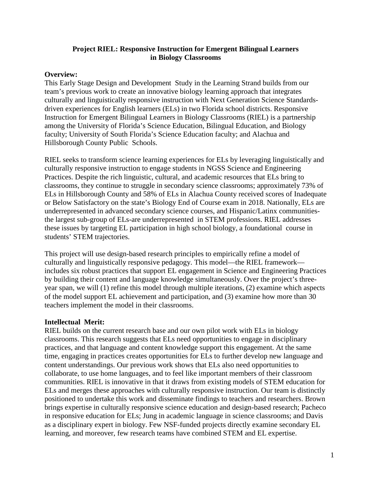## **Project RIEL: Responsive Instruction for Emergent Bilingual Learners in Biology Classrooms**

## **Overview:**

This Early Stage Design and Development Study in the Learning Strand builds from our team's previous work to create an innovative biology learning approach that integrates culturally and linguistically responsive instruction with Next Generation Science Standardsdriven experiences for English learners (ELs) in two Florida school districts. Responsive Instruction for Emergent Bilingual Learners in Biology Classrooms (RIEL) is a partnership among the University of Florida's Science Education, Bilingual Education, and Biology faculty; University of South Florida's Science Education faculty; and Alachua and Hillsborough County Public Schools.

RIEL seeks to transform science learning experiences for ELs by leveraging linguistically and culturally responsive instruction to engage students in NGSS Science and Engineering Practices. Despite the rich linguistic, cultural, and academic resources that ELs bring to classrooms, they continue to struggle in secondary science classrooms; approximately 73% of ELs in Hillsborough County and 58% of ELs in Alachua County received scores of Inadequate or Below Satisfactory on the state's Biology End of Course exam in 2018. Nationally, ELs are underrepresented in advanced secondary science courses, and Hispanic/Latinx communitiesthe largest sub-group of ELs-are underrepresented in STEM professions. RIEL addresses these issues by targeting EL participation in high school biology, a foundational course in students' STEM trajectories.

This project will use design-based research principles to empirically refine a model of culturally and linguistically responsive pedagogy. This model—the RIEL framework includes six robust practices that support EL engagement in Science and Engineering Practices by building their content and language knowledge simultaneously. Over the project's threeyear span, we will (1) refine this model through multiple iterations, (2) examine which aspects of the model support EL achievement and participation, and (3) examine how more than 30 teachers implement the model in their classrooms.

## **Intellectual Merit:**

RIEL builds on the current research base and our own pilot work with ELs in biology classrooms. This research suggests that ELs need opportunities to engage in disciplinary practices, and that language and content knowledge support this engagement. At the same time, engaging in practices creates opportunities for ELs to further develop new language and content understandings. Our previous work shows that ELs also need opportunities to collaborate, to use home languages, and to feel like important members of their classroom communities. RIEL is innovative in that it draws from existing models of STEM education for ELs and merges these approaches with culturally responsive instruction. Our team is distinctly positioned to undertake this work and disseminate findings to teachers and researchers. Brown brings expertise in culturally responsive science education and design-based research; Pacheco in responsive education for ELs; Jung in academic language in science classrooms; and Davis as a disciplinary expert in biology. Few NSF-funded projects directly examine secondary EL learning, and moreover, few research teams have combined STEM and EL expertise.